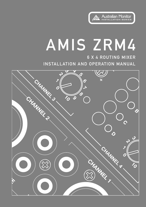

# AMIS ZRM4

6 X 4 ROUTING MIXER INSTALLATION AND OPERATION MANUAL

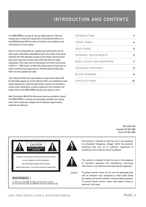# INTRODUCTION AND CONTENTS

The AMIS ZRM4 is an easy to use, yet highly featured 1 RU zone routing mixer. It features 6 inputs that can be balanced XLR mic or dual RCA/balanced XLR line level, all of which are available to any combination of 4 zone outputs.

Input #1 can be designated as a paging input with priority over all other inputs, individually selectable at each zone output. Front panel switches with LED indication provide for the simple routing of each input. Each input has bi colour status LED indication & 2 stage equalization. Each input has an internal gain trim which can provide a further +/- 15dB of gain, to allow the perfect set up of input gain no matter what the input signal may be. Phantom power & high pass filters are also supplied per input.

Each balanced XLR zone output features a dual colour status LED & switchable paging mic priority. Remote VCA's are available for each output allowing for a wall mounted volume control to be installed in remote zones allowing for a volume range from off to whatever the master level on the AMIS ZRM4 relevant zone output is set to.

Alert, Evacuation, Bell & Pre Announce tones are provided on board. The AMIS ZRM4 is a compact yet extremely versatile zone routing mixer which makes the complex task of multizone signal routing simple & cost effective.

| INTRODUCTION              | 3  |
|---------------------------|----|
| FRONT PANEL               | 4  |
| REAR PANEL                | 5  |
| INTERNAL ADJUSTMENTS      | 6  |
| BASIC SETUP AND OPERATION | 7  |
| ADVANCED FEATURES         | 8  |
| BLOCK DIAGRAM             | 9  |
| SPECIFICATIONS            | 10 |

AUS, EUR, USA Copyright 4th Mar 2005 Rev A: 4th Mar 2005





CAUTION: TO REDUCE THE RISK OF ELECTRIC SHOCK. DO NOT REMOVE COVER (OR BACK). NO USEB-SERVICEABLE PARTS INSIDE

BEFER SERVICING TO QUALIFIED SERVICE PERSONNEL



This symbol is intended to alert the user to the presence of uninsulated "dangerous voltage" within the product's enclosure that may be of sufficient magnitude to constitute a risk of electric shock to persons.



This symbol is intended to alert the user to the presence

Caution:

of important operation and maintenance (servicing) instructions in the literature accompanying the appliance.

To prevent electric shock do not use this (polarised) plug with an extension cord, receptacle or other outlet unless the blades can be fully inserted to prevent blade exposure. To prevent electric shock, match wide blade of plug to wide slot, fully insert.

## **WARNING!**

TO REDUCE THE RISK OF FIRE OR ELECTRIC SHOCK.<br>DO NOT EXPOSE THIS EQUIPMENT TO RAIN OR MOISTURE.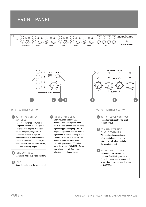## FRONT PANEL



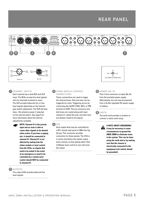## REAR PANEL







Each channel has a dual RCA and XLR input. The RCAs accept line level signals and are internally summed to mono. The XLR accepts balanced mic or line level signals depending on the internal gain switch adjustment. The XLR will also have +15v phantom power if selected on the internal switch. See page 6 for more information about the internal adjustments available.



**NOTE:** Channel #1 is the priority **input and as such is able to cause other signals to be ducked when active. If you have a paging mic, it should be connected to channel #1. Channel #1 is not affected by muting from the chime module or level control from the VCAs, so signals that need to be muted in the event of an emergency or need to be controlled by a remote level control should NOT be connected to channel #1.**

#### 2 OUTPUTS

The output XLRs provide balanced line level signals.

#### **3** CHIME MODULE CONTROL CONNECTIONS

These connections are used to trigger the internal tones. Only one tone can be triggered at a time. Triggering occurs by connecting the ALERT, EVAC, BELL or PRE terminal to COM. The pre-announce and bell tones are routed along with input channel #1, whilst the evac and alert tone are always routed to all outputs.

#### 4 VCA

Each output level may be controlled by a RC1 remote wall panel or 500k ohm log (A) pot. This connector provides connection for these panels. The VCA is in series and before the master output level controls, so that setting either VCA of Master level control to zero will mute the output.

#### 5 POWER 20V AC

This 2.1mm connector accepts 20v AC from the provided power supply. Alternatively, the unit may be powered from a 24-34v regulated DC power supply or battery.

a. <u>ය</u>  $+24V$ 

**E**<br>DC POWER CONNECTION

#### 6 EARTH

The earth stud provides a location to connect a mains earth strap.



**A NOTE ABOUT GROUNDING: It may be necessary in some circumstances to ground the AMIS ZRM4 to eliminate noise in the system. This can be done using the earth stud or by making sure that the chassis is electrically connected to the equipment rack (which should be grounded).**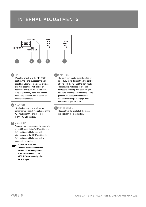## INTERNAL ADJUSTMENTS



#### $1$  HPF

When this switch is in the "HPF OUT" position, the signal bypasses the high pass filter. Otherwise the signal is filtered by a high pass filter with a knee of approximately 150Hz. This is useful in removing "thumps", "pops" and "rumble" when using the input with a lectern or handheld microphone.

#### 2 PHANTOM

15v phantom power is available for condenser or electret microphones on the XLR input when this switch is in the "PHANTOM ON" position.

#### 3 MIC / LINE

☛

These two switches control the sensitivity of the XLR input. In the "MIC" position the XLR input is suitable for use with microphones; in the "LINE" position the XLR input is suitable for use with a balanced line level signal.

#### **NOTE: Both MIC/LINE**

**switches must be in the same position for correct operation of the balanced input. The MIC/LINE switches only affect the XLR input.**

#### 4 GAIN TRIM

The input gain can be cut or boosted by up to 15dB using this control. This control affects both the XLR and the RCA inputs. This allows a wide rage of program sources to be set up with optimum gain structure. With the gain trim in the centre position, the boost/cut is set to 0dB. See the block diagram on page 9 for details of the gain structure.

#### 5 TONES LEVEL

This controls the level of all the tones generated by the tone module.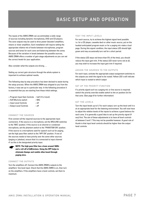# BASIC SETUP AND OPERATION

The inputs of the AMIS ZRM4 can accommodate a wide range of sources including dynamic microphones, DVD and CD players. The zone outputs may be used to drive power (booster) amplifiers, mixers or mixer amplifiers. Each installation will require setting the appropriate relative mix of levels between microphones, program sources and tones for each zone and balancing between the zones. Because of the variation in levels between the possible sources, AMIS ZRM4 offers a number of gain stage adjustments so you can set the correct levels for your application.

Also consider what the outputs are driving….

Setting up correct gain structure through the whole system is important to achieve optimal results.

The following step by step procedure has been devised to assist during the setup process. When the AMIS ZRM4 was shipped to you from the factory, it was set up in a particular way. In the following procedure it is essential that you are starting from these initial settings.

- + Program Input Gain Controls half (12 o'clock)
- + XLR Mic/Line switch MIC
- + Input Level Controls off
- + Output Level Controls off

#### CONNECT THE SOURCES

First connect all the required sources to the appropriate input connectors. If the source is a microphone, set the MIC/LINE switches to the "MIC" position. If the source is an electret or condenser microphone, set the phantom switch to the "PHANTOM ON" position. If the source is a microphone used for speech such as for paging, set the high pass filter switch to the "HPF ON" position. If one of the sources needs to have priority over the some other sources (paging or jukebox), ensure that it is connected to input channel #1 as this is the designated priority input.



**NOTE: The high pass filter has a knee around 160Hz and a roll-off of 6dB/octave. Using the HPF helps to eliminate thumps and rumble often heard through paging mics.**

#### CONNECT THE OUTPUTS

Turn the amplifiers off. Connect the AMIS ZRM4's outputs to the amplifiers' line level input. Check that the AMIS ZMR4 is on, then turn on the amplifiers. If the amplifiers have a level controls, set them to maximum.

#### TEST THE INPUT LEVELS

For each source, try to achieve the highest signal level possible. i.e. for a CD player, cassette deck or other music source, put on the loudest anticipated program music or for a paging mic make a loud page. During this signal condition, the input status LED should light green and may occasionally turn red for a short period.

If the status LED stays red (more than 5% of the time), you should reduce the input gain trim. If the status LED never turns red at all, you may wish to increase the input gain trim if required.

#### ASSIGN THE SOURCES TO THE OUTPUTS

For each input, activate the appropriate output assignment switches to the outputs you wish the signal to be routed. Yellow LED's will indicate which input is routed to which output

#### SET UP THE PRIORITY FUNCTION

If a priority signal such as a paging mic or line source is required, switch the priority override enable switch to the on position (in) for that zone. (See page 8 for further information)

#### SET THE LEVELS

Turn the input levels up to 5. For each output, turn up the level until it is at an appropriate level for the listening environment. You will now have to adjust the relative levels of the inputs to achieve a good balance for each zone. It is generally a good idea to set up the priority signal (if any) first. The aim of these adjustments is to have all level controls at between 3 and 7. This may not be possible however. A good rule of thumb is that input level controls should be higher than the output level controls.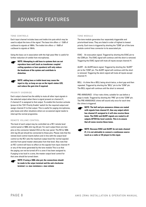# ADVANCED FEATURES

#### TONE CONTROLS

Each input channel includes bass and treble trim pots which may be used to adjust the tone of the signal. The bass trim offers +/- 12dB of cut/boost to signals at 100Hz. The treble trim offers +/- 10dB of cut/boost to signals at 10kHz.

Using the bass cut in association with the high pass filter is useful for further reduction of rumble from microphones.



☛

**NOTE: Attempting to add bass to systems that can not reproduce bass well (such as transformer coupled ceiling speakers or horn speakers) will only reduce the headroom of the system and contribute to distortion.**

**NOTE: adding bass or treble boost may cause the input to clip, so keep an eye on the input's status LED, and reduce the gain trim if required.**

#### PRIORITY OVERRIDE

Each output channel has the ability to mute all other input signals in the selected output when there is signal present on channel #1, if channel #1 is assigned to that output. To enable this function activate (press in) the "CH1 Priority Enable" switch for the required output and assign channel #1 to that output. This is useful for paging microphones, juke boxes and other situations where an occasional signal needs to interrupt the normal programme.

#### REMOTE VOLUME CONTROL

The level of each output may be controlled via a RC1 remote level control panel or 500k ohm log (A) pot. For each output there are two pins on the connector labeled VCA on the rear panel. The RC1or 500k ohm log (A) pot should be connected to these pins. Please note that the remote level control inserts before and in-line with the output level control so the RC1 sets the maximum output level (for normal signals) and the front panel master attenuates from that level. Also note that an RC1 control will have no effect on the signals from input channel #1 or any of the tones generated by the tone module This is so that the paging can not be turned off in a zone it has been assigned to. If paging is too loud in a zone, the master output level control for that zone should be turned down.



**NOTE: If using a 500k ohm pot, the connections should be made to the wiper terminal and the anti-clockwise terminal. i.e. max resistance = max volume**

#### TONE MODULE

The tone module generates four separately triggerable and priorioritised tones. They are listed in order of highest to lowest priority. Each tone is triggered by shorting the "COM" pin of the tone module control lines connector to its associated pin.

EVAC - An evacuation signal. Triggered by shorting the EVAC pin to the COM pin. The EVAC signal will continue until the short is removed. Triggering the EVAC signal will mute all inputs except channel #1.

ALERT - An ALERT/alarm signal. Triggered by shorting the "ALERT" pin to the "COM" pin. The ALERT signal will continue until the short is removed. Triggering the alarm signal will mute all inputs except channel #1.

BELL - A chime like a BELL being struck twice, a short gap and then repeated. Triggered by shorting the "BELL" pin to the "COM" pin. The BELL signal will continue until the short is removed.

PRE-ANNOUNCE - A four note chime, suitable for use before a page is made. Triggered by shorting the "PRE" pin to the "COM" pin. The PRE-ANNOUNCE chime will sound only once for each time the chime is triggered.



**NOTE: The bell and pre-announce chimes are routed with signals from channel #1, thus any output which has channel #1 assigned to it will also receive these tones. The EVAC and ALERT signals are routed to all outputs AFTER the level controls. This is to ensure that all zones receive these tones.**

| the property of the con- | I<br>۰.<br>۰. |
|--------------------------|---------------|

**NOTE: Because EVAC and ALERT do not mute channel #1, it is not advisable to connect a continuous source (such as a radio or CD player) to this input.**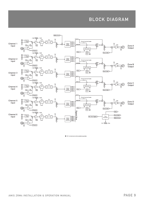## BLOCK DIAGRAM



\* RC1 remote level control available seperately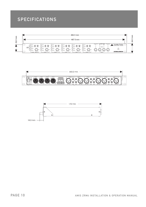# SPECIFICATIONS





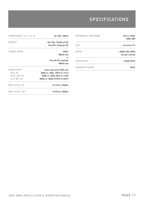# **SPECIFICATIONS**

| FREQUENCY RESPONSE | $<$ 5Hz to $>$ 22kHz<br>$(0dB/-3dB)$     |
|--------------------|------------------------------------------|
| THD                | less than 0.1%                           |
| NOISE              | <-90dBu 20Hz-20kHz<br>(all pots centred) |
| CROSSTALK:         | <-65dB@1kHz                              |
| PHANTOM POWER      | 15VDC                                    |

| DIMENSIONS (h x w x d) | 44 x 482 x 188mm                       |
|------------------------|----------------------------------------|
| WEIGHT                 | Net 2.9kg Shipping 4.4kg               |
|                        | Net 6.4lb Shipping 9.7lb               |
| POWER INPUT            | 20VAC                                  |
|                        | 600mA max                              |
|                        | or                                     |
|                        | 24 to 34y DC regulated                 |
|                        | $600mA$ max                            |
| <b>SENSITIVITY</b>     | (input required for OdBu out)          |
| RCA IN                 | $-26$ dBu to $+4$ dBu (39mV to 1.23 V) |
| <b>XLR LINE IN</b>     | -26dBu to +4dBu (39mV to 1.23V)        |
| <b>XLR MIC IN</b>      | -60dBu to -30dBu (0.78mV to 25mV)      |
| <b>MAX LEVEL IN</b>    | >14.1Vrms (+25dBu)                     |
| <b>MAX LEVEL OUT</b>   | >15.4Vrms (+26dBu)                     |
|                        |                                        |